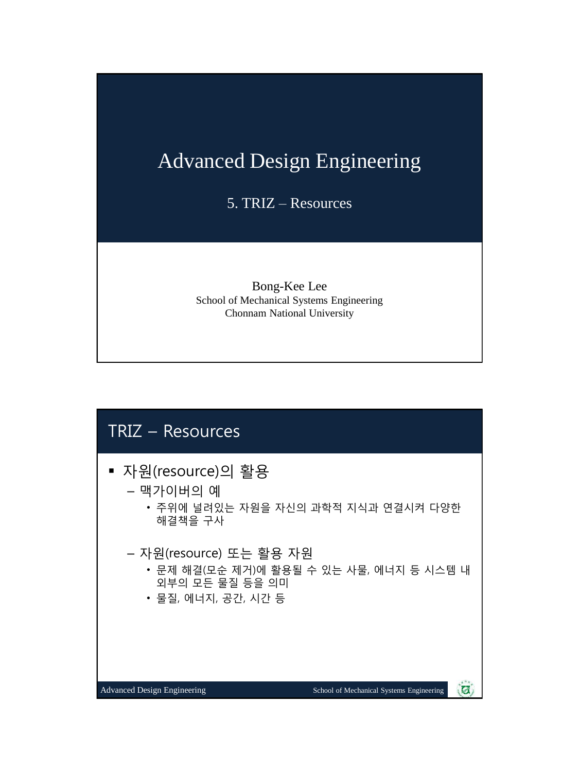# Advanced Design Engineering

5. TRIZ – Resources

Bong-Kee Lee School of Mechanical Systems Engineering Chonnam National University

## TRIZ – Resources

- 자원(resource)의 활용
	- 맥가이버의 예
		- 주위에 널려있는 자원을 자신의 과학적 지식과 연결시켜 다양한 해결책을 구사
	- 자원(resource) 또는 활용 자원
		- 문제 해결(모순 제거)에 활용될 수 있는 사물, 에너지 등 시스템 내 외부의 모든 물질 등을 의미
		- 물질, 에너지, 공간, 시간 등

Ø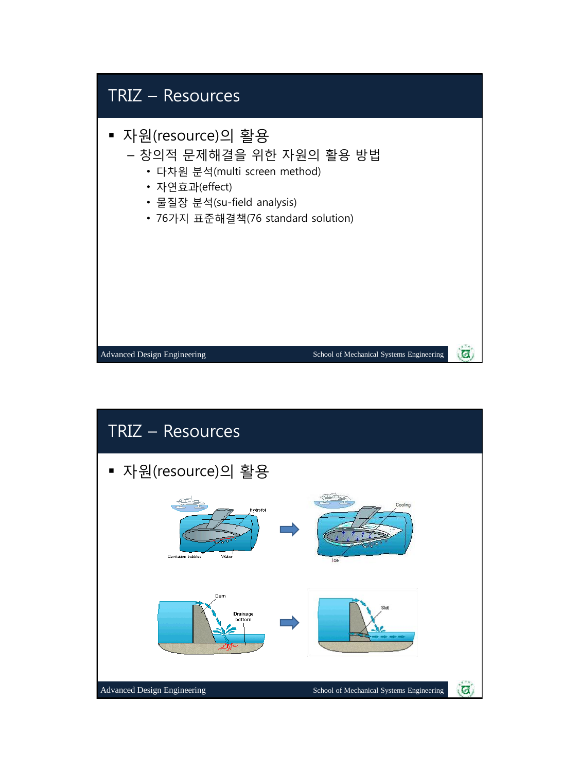

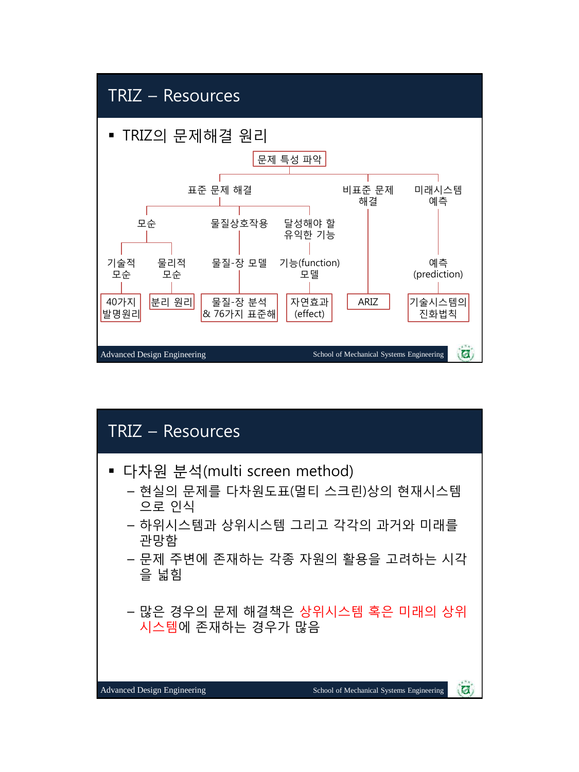### TRIZ – Resources

■ TRIZ의 문제해결 워리



# TRIZ – Resources 다차원 분석(multi screen method) – 현실의 문제를 다차원도표(멀티 스크린)상의 현재시스템 으로 인식 – 하위시스템과 상위시스템 그리고 각각의 과거와 미래를 관망함 – 문제 주변에 존재하는 각종 자원의 활용을 고려하는 시각 을 넓힘 – 많은 경우의 문제 해결책은 상위시스템 혹은 미래의 상위 시스템에 존재하는 경우가 많음Advanced Design Engineering School of Mechanical Systems Engineering  $\overline{\mathbf{a}}$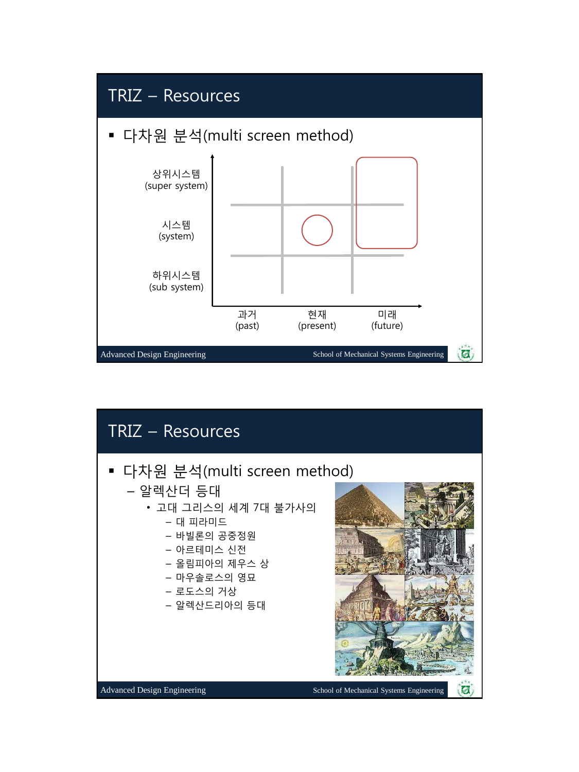

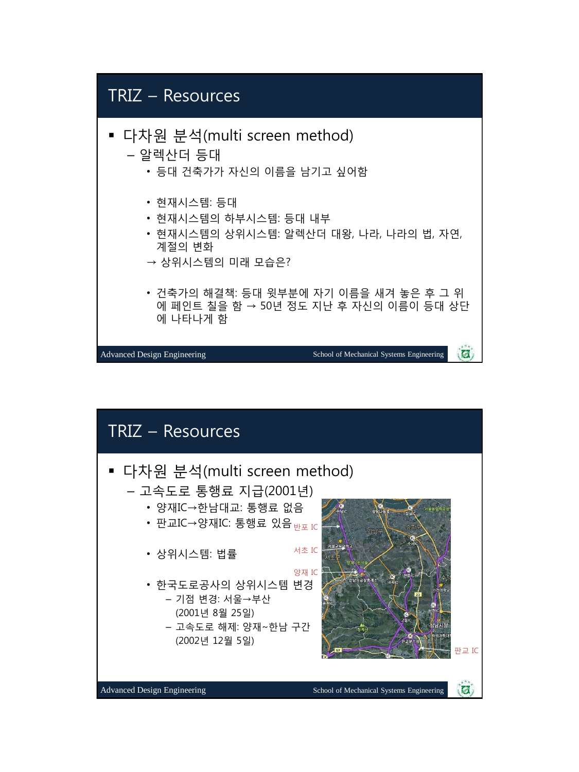# TRIZ – Resources

- 다차원 분석(multi screen method)
	- 알렉산더 등대
		- 등대 건축가가 자신의 이름을 남기고 싶어함
		- 현재시스템: 등대
		- 현재시스템의 하부시스템: 등대 내부
		- 현재시스템의 상위시스템: 알렉산더 대왕, 나라, 나라의 법, 자연, 계절의 변화
		- → 상위시스템의 미래 모습은?
		- 건축가의 해결책: 등대 윗부분에 자기 이름을 새겨 놓은 후 그 위 에 페인트 칠을 함 → 50년 정도 지난 후 자신의 이름이 등대 상단 에 나타나게 함

 $\overline{a}$ 

Advanced Design Engineering School of Mechanical Systems Engineering

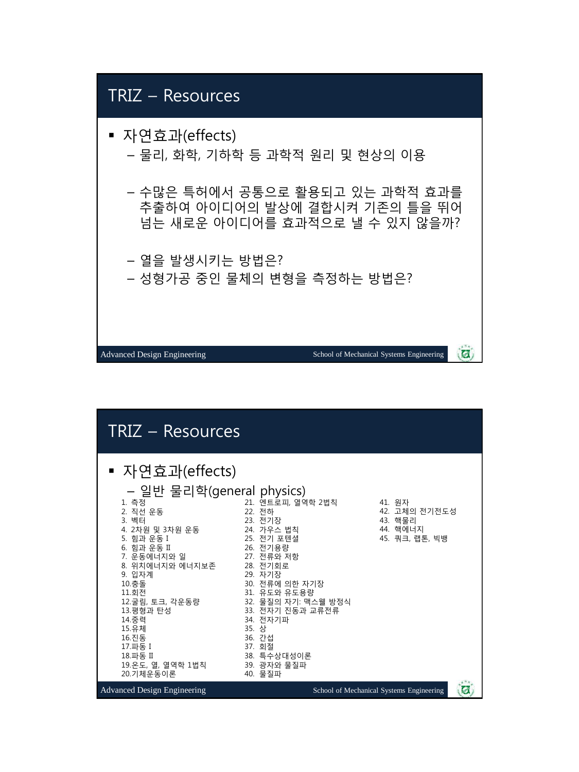

| TRIZ - Resources                                                                                                                                                                                                                                                                                             |                                                                                                                                                                                                                                                                                    |                                                                  |
|--------------------------------------------------------------------------------------------------------------------------------------------------------------------------------------------------------------------------------------------------------------------------------------------------------------|------------------------------------------------------------------------------------------------------------------------------------------------------------------------------------------------------------------------------------------------------------------------------------|------------------------------------------------------------------|
| ▪ 자연효과(effects)<br>- 일반 물리학(general physics)<br>1. 측정<br>2. 직선 운동<br>3. 벡터<br>4. 2차원 및 3차원 운동<br>5. 힘과 운동 I<br>6. 힘과 운동 II<br>7. 운동에너지와 일<br>8. 위치에너지와 에너지보존<br>9. 입자계<br>10.충돌<br>11.회전<br>12.굴림, 토크, 각운동량<br>13.평형과 탄성<br>14.중력<br>15.유체<br>16.진동<br>17.파동 I<br>18.파동 II<br>19.온도, 열, 열역학 1법칙<br>20.기체운동이론 | 21. 엔트로피, 열역학 2법칙<br>22. 전하<br>23. 전기장<br>24. 가우스 법칙<br>25. 전기 포텐셜<br>26. 전기용량<br>27. 전류와 저항<br>28. 전기회로<br>29. 자기장<br>30. 전류에 의한 자기장<br>31. 유도와 유도용량<br>32. 물질의 자기: 맥스웰 방정식<br>33. 전자기 진동과 교류전류<br>34. 전자기파<br>35. 상<br>36. 간섭<br>37. 회절<br>38. 특수상대성이론<br>39. 광자와 물질파<br>40. 물질파 | 41. 워자<br>42. 고체의 전기전도성<br>43. 핵물리<br>44. 핵에너지<br>45. 쿼크, 랩톤, 빅뱅 |
| <b>Advanced Design Engineering</b>                                                                                                                                                                                                                                                                           |                                                                                                                                                                                                                                                                                    | School of Mechanical Systems Engineering<br>(p)                  |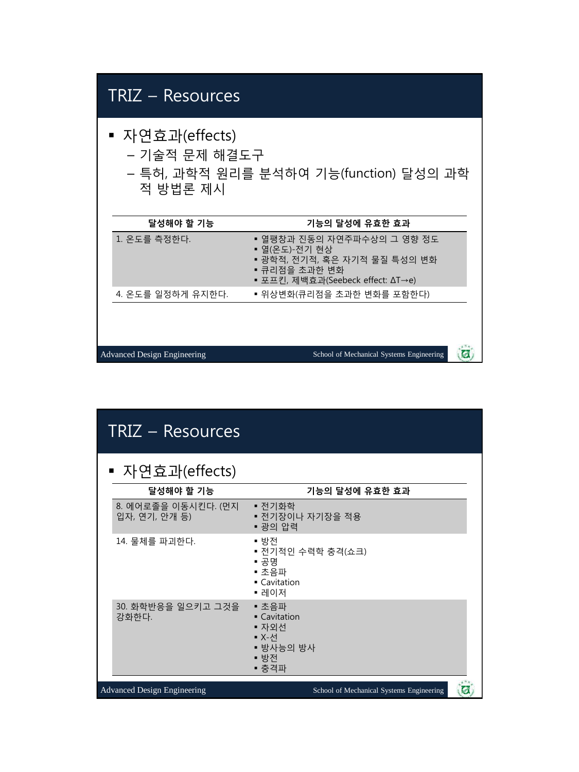| ▪ 자연효과(effects)<br>- 기술적 문제 해결도구<br>- 특허, 과학적 원리를 분석하여 기능(function) 달성의 과학<br>적 방법론 제시                                            |  |  |
|-----------------------------------------------------------------------------------------------------------------------------------|--|--|
| 기능의 달성에 유효한 효과                                                                                                                    |  |  |
| ▪ 열팽창과 진동의 자연주파수상의 그 영향 정도<br>▪ 열(온도)-전기 현상<br>▪ 광학적, 전기적, 혹은 자기적 물질 특성의 변화<br>▪ 큐리점을 초과한 변화<br>▪ 포프킨, 제백효과(Seebeck effect: ΔT→e) |  |  |
| ▪ 위상변화(큐리점을 초과한 변화를 포함한다)                                                                                                         |  |  |
| School of Mechanical Systems Engineering<br>$\mathcal{L}$                                                                         |  |  |
|                                                                                                                                   |  |  |

| TRIZ – Resources                     |                                                                                  |
|--------------------------------------|----------------------------------------------------------------------------------|
| ▪ 자연효과(effects)                      |                                                                                  |
| 달성해야 할 기능                            | 기능의 달성에 유효한 효과                                                                   |
| 8. 에어로졸을 이동시킨다. (먼지<br>입자, 연기, 안개 등) | ▪ 전기화학<br>▪ 전기장이나 자기장을 적용<br>■ 광의 압력                                             |
| 14. 물체를 파괴한다.                        | ▪ 방전<br>▪ 전기적인 수력학 충격(쇼크)<br>▪ 공명<br>▪ 초음파<br>$\blacksquare$ Cavitation<br>▪ 레이저 |
| 30. 화학반응을 일으키고 그것을<br>강화한다.          | ■ 초음파<br>• Cavitation<br>▪ 자외선<br>■ X-서<br>▪ 방사능의 방사<br>■ 방전<br>■ 충격파            |
| <b>Advanced Design Engineering</b>   | School of Mechanical Systems Engineering                                         |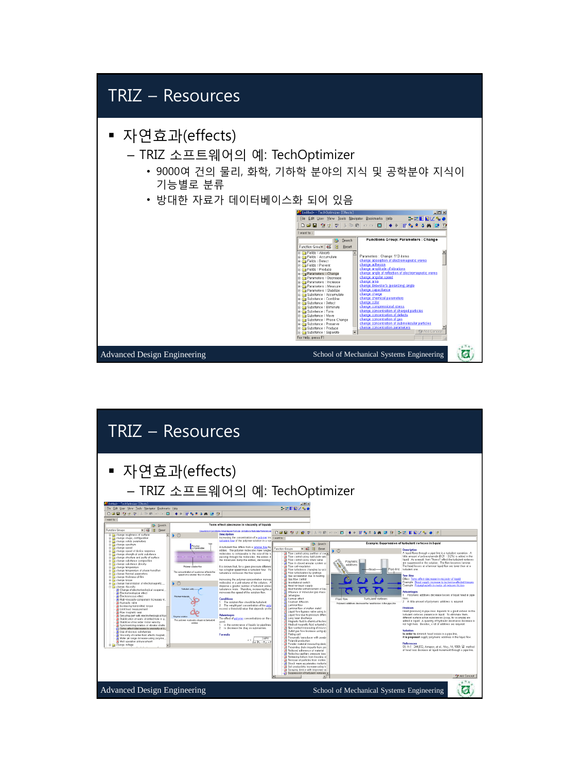

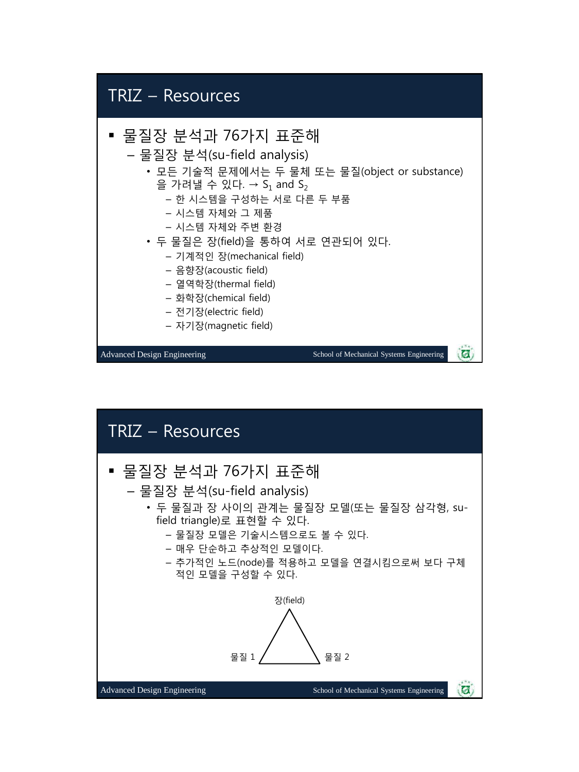

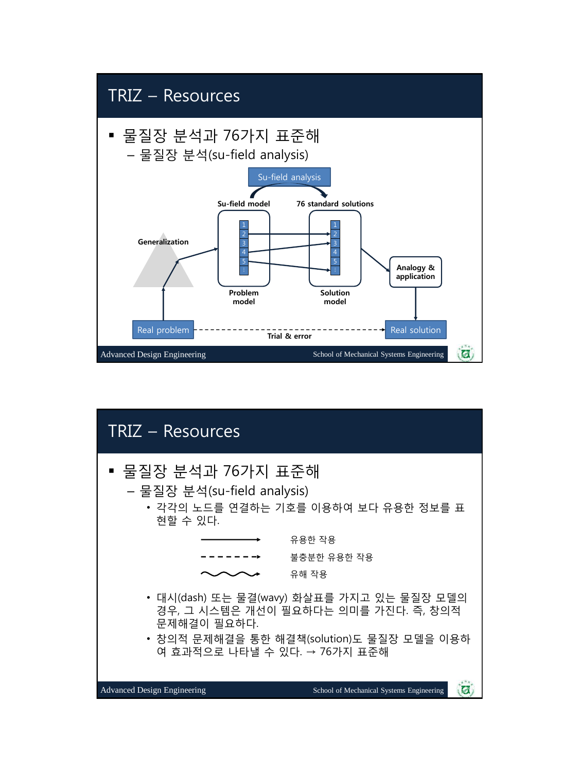

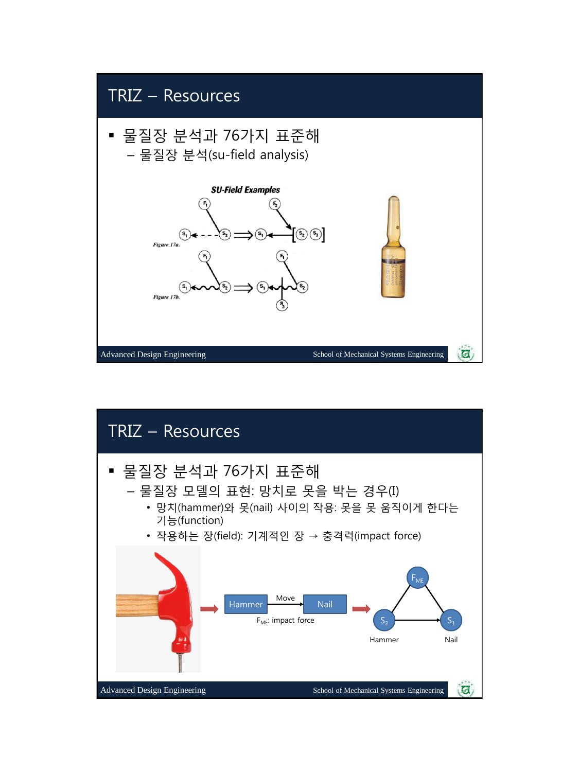

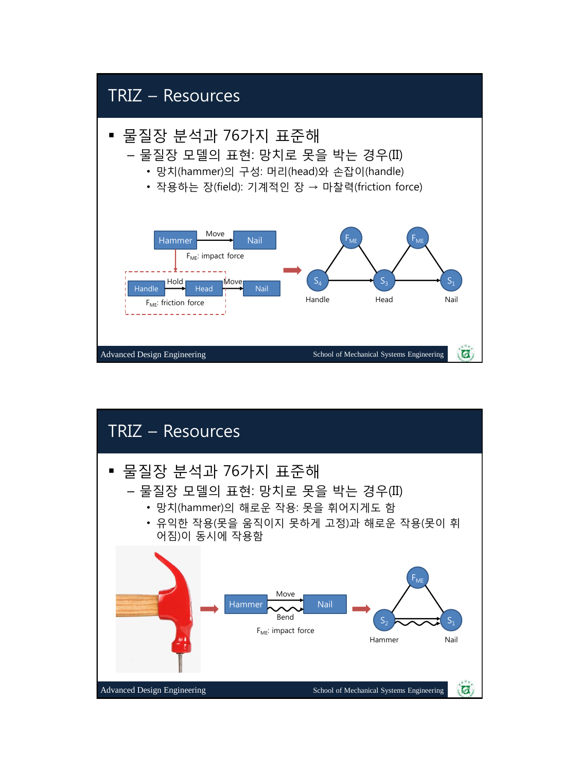

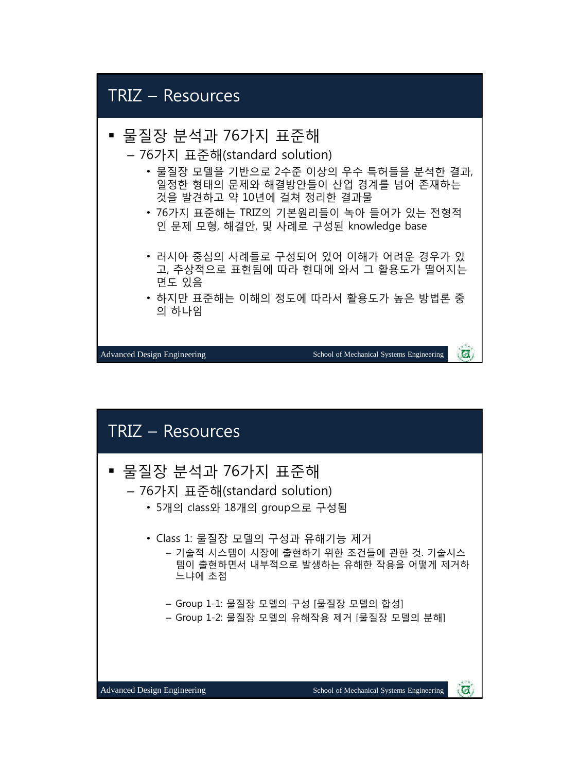### TRIZ – Resources 물질장 분석과 76가지 표준해 – 76가지 표준해(standard solution) • 물질장 모델을 기반으로 2수준 이상의 우수 특허들을 분석한 결과, 일정한 형태의 문제와 해결방안들이 산업 경계를 넘어 존재하는 것을 발견하고 약 10년에 걸쳐 정리한 결과물 • 76가지 표준해는 TRIZ의 기본원리들이 녹아 들어가 있는 전형적 인 문제 모형, 해결안, 및 사례로 구성된 knowledge base • 러시아 중심의 사례들로 구성되어 있어 이해가 어려운 경우가 있 고, 추상적으로 표현됨에 따라 현대에 와서 그 활용도가 떨어지는 면도 있음 • 하지만 표준해는 이해의 정도에 따라서 활용도가 높은 방법론 중 의 하나임 硕 Advanced Design Engineering School of Mechanical Systems Engineering





碗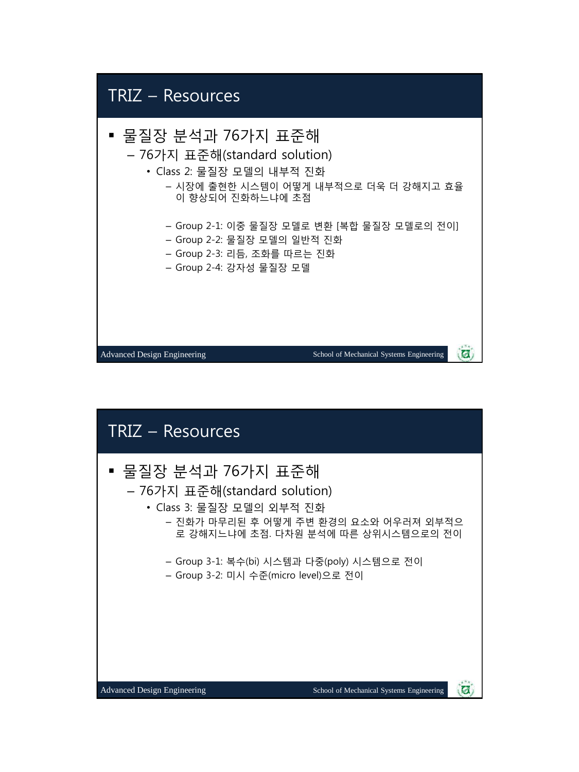

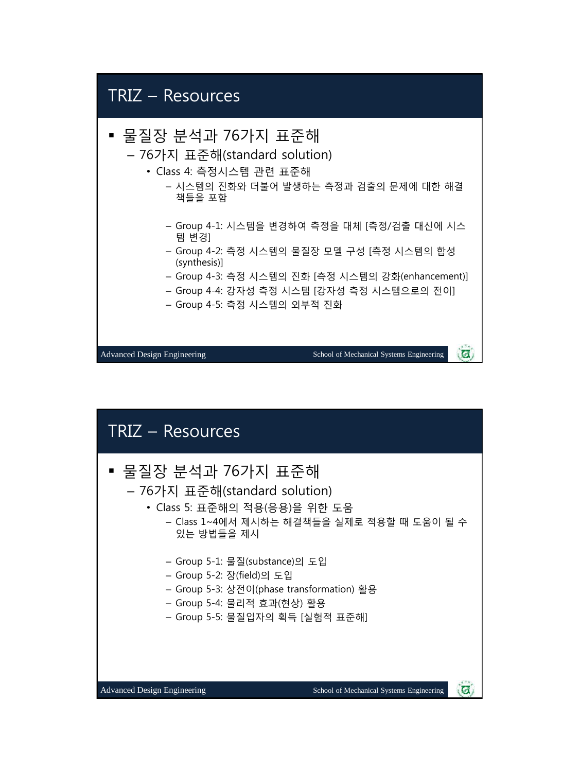### TRIZ – Resources

#### 물질장 분석과 76가지 표준해

- 76가지 표준해(standard solution)
	- Class 4: 측정시스템 관련 표준해
		- 시스템의 진화와 더불어 발생하는 측정과 검출의 문제에 대한 해결 책들을 포함
		- Group 4-1: 시스템을 변경하여 측정을 대체 [측정/검출 대신에 시스 템 변경]
		- Group 4-2: 측정 시스템의 물질장 모델 구성 [측정 시스템의 합성 (synthesis)]
		- Group 4-3: 측정 시스템의 진화 [측정 시스템의 강화(enhancement)]
		- Group 4-4: 강자성 측정 시스템 [강자성 측정 시스템으로의 전이]
		- Group 4-5: 측정 시스템의 외부적 진화

Advanced Design Engineering School of Mechanical Systems Engineering

Ø

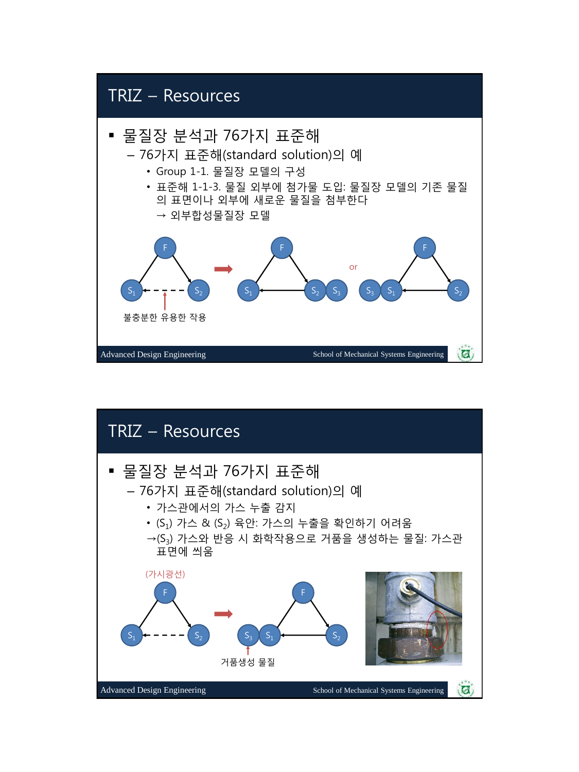